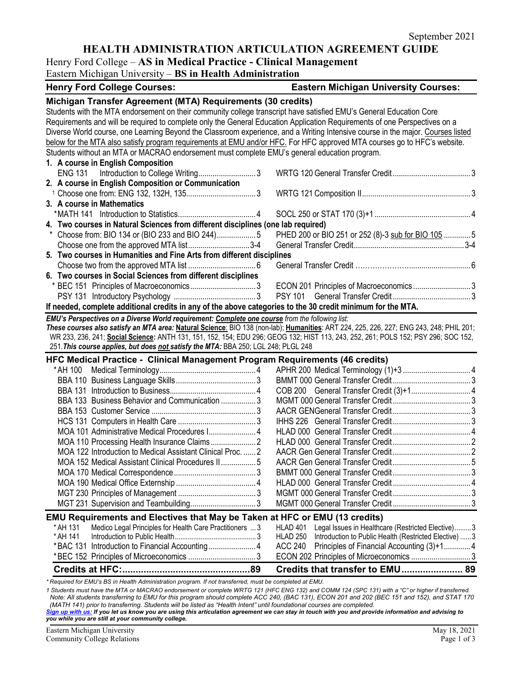# **HEALTH ADMINISTRATION ARTICULATION AGREEMENT GUIDE**

## Henry Ford College – **AS in Medical Practice - Clinical Management**

Eastern Michigan University – **BS in Health Administration**

| <b>Henry Ford College Courses:</b>                                                                                                                                                                                                                                            | <b>Eastern Michigan University Courses:</b>                       |  |  |
|-------------------------------------------------------------------------------------------------------------------------------------------------------------------------------------------------------------------------------------------------------------------------------|-------------------------------------------------------------------|--|--|
| Michigan Transfer Agreement (MTA) Requirements (30 credits)                                                                                                                                                                                                                   |                                                                   |  |  |
| Students with the MTA endorsement on their community college transcript have satisfied EMU's General Education Core                                                                                                                                                           |                                                                   |  |  |
| Requirements and will be required to complete only the General Education Application Requirements of one Perspectives on a                                                                                                                                                    |                                                                   |  |  |
| Diverse World course, one Learning Beyond the Classroom experience, and a Writing Intensive course in the major. Courses listed                                                                                                                                               |                                                                   |  |  |
| below for the MTA also satisfy program requirements at EMU and/or HFC. For HFC approved MTA courses go to HFC's website.                                                                                                                                                      |                                                                   |  |  |
| Students without an MTA or MACRAO endorsement must complete EMU's general education program.                                                                                                                                                                                  |                                                                   |  |  |
| 1. A course in English Composition                                                                                                                                                                                                                                            |                                                                   |  |  |
| <b>ENG 131</b>                                                                                                                                                                                                                                                                |                                                                   |  |  |
| 2. A course in English Composition or Communication                                                                                                                                                                                                                           |                                                                   |  |  |
| 3. A course in Mathematics                                                                                                                                                                                                                                                    |                                                                   |  |  |
|                                                                                                                                                                                                                                                                               |                                                                   |  |  |
| 4. Two courses in Natural Sciences from different disciplines (one lab required)                                                                                                                                                                                              |                                                                   |  |  |
|                                                                                                                                                                                                                                                                               | PHED 200 or BIO 251 or 252 (8)-3 sub for BIO 105  5               |  |  |
| Choose one from the approved MTA list3-4                                                                                                                                                                                                                                      |                                                                   |  |  |
| 5. Two courses in Humanities and Fine Arts from different disciplines                                                                                                                                                                                                         |                                                                   |  |  |
|                                                                                                                                                                                                                                                                               |                                                                   |  |  |
| 6. Two courses in Social Sciences from different disciplines                                                                                                                                                                                                                  |                                                                   |  |  |
|                                                                                                                                                                                                                                                                               | ECON 201 Principles of Macroeconomics3                            |  |  |
|                                                                                                                                                                                                                                                                               |                                                                   |  |  |
| If needed, complete additional credits in any of the above categories to the 30 credit minimum for the MTA.                                                                                                                                                                   |                                                                   |  |  |
| EMU's Perspectives on a Diverse World requirement: Complete one course from the following list:                                                                                                                                                                               |                                                                   |  |  |
| These courses also satisfy an MTA area: Natural Science: BIO 138 (non-lab); Humanities: ART 224, 225, 226, 227; ENG 243, 248; PHIL 201;<br>WR 233, 236, 241; Social Science: ANTH 131, 151, 152, 154; EDU 296; GEOG 132; HIST 113, 243, 252, 261; POLS 152; PSY 296; SOC 152, |                                                                   |  |  |
| 251. This course applies, but does not satisfy the MTA: BBA 250; LGL 248; PLGL 248                                                                                                                                                                                            |                                                                   |  |  |
| HFC Medical Practice - Clinical Management Program Requirements (46 credits)                                                                                                                                                                                                  |                                                                   |  |  |
| * AH 100                                                                                                                                                                                                                                                                      |                                                                   |  |  |
|                                                                                                                                                                                                                                                                               |                                                                   |  |  |
|                                                                                                                                                                                                                                                                               |                                                                   |  |  |
| BBA 133 Business Behavior and Communication  3                                                                                                                                                                                                                                |                                                                   |  |  |
|                                                                                                                                                                                                                                                                               |                                                                   |  |  |
|                                                                                                                                                                                                                                                                               |                                                                   |  |  |
| MOA 101 Administrative Medical Procedures I 4                                                                                                                                                                                                                                 |                                                                   |  |  |
|                                                                                                                                                                                                                                                                               |                                                                   |  |  |
| MOA 122 Introduction to Medical Assistant Clinical Proc.  2                                                                                                                                                                                                                   |                                                                   |  |  |
| MOA 152 Medical Assistant Clinical Procedures II 5                                                                                                                                                                                                                            |                                                                   |  |  |
|                                                                                                                                                                                                                                                                               |                                                                   |  |  |
|                                                                                                                                                                                                                                                                               |                                                                   |  |  |
|                                                                                                                                                                                                                                                                               |                                                                   |  |  |
|                                                                                                                                                                                                                                                                               |                                                                   |  |  |
| <b>EMU Requirements and Electives that May be Taken at HFC or EMU (13 credits)</b><br>* AH 131                                                                                                                                                                                | HLAD 401 Legal Issues in Healthcare (Restricted Elective)3        |  |  |
| Medico Legal Principles for Health Care Practitioners  3<br>* AH 141                                                                                                                                                                                                          | HLAD 250<br>Introduction to Public Health (Restricted Elective) 3 |  |  |
|                                                                                                                                                                                                                                                                               | ACC 240<br>Principles of Financial Accounting (3)+14              |  |  |
|                                                                                                                                                                                                                                                                               | ECON 202 Principles of Microeconomics  3                          |  |  |
|                                                                                                                                                                                                                                                                               |                                                                   |  |  |

*\* Required for EMU's BS in Health Administration program. If not transferred, must be completed at EMU.* 

*1 Students must have the MTA or MACRAO endorsement or complete WRTG 121 (HFC ENG 132) and COMM 124 (SPC 131) with a "C" or higher if transferred. Note: All students transferring to EMU for this program should complete ACC 240, (BAC 131), ECON 201 and 202 (BEC 151 and 152), and STAT 170 (MATH 141) prior to transferring. Students will be listed as "Health Intent" until foundational courses are completed.*

*[Sign up with us:](https://www.emich.edu/ccr/articulation-agreements/signup.php) If you let us know you are using this articulation agreement we can stay in touch with you and provide information and advising to you while you are still at your community college.*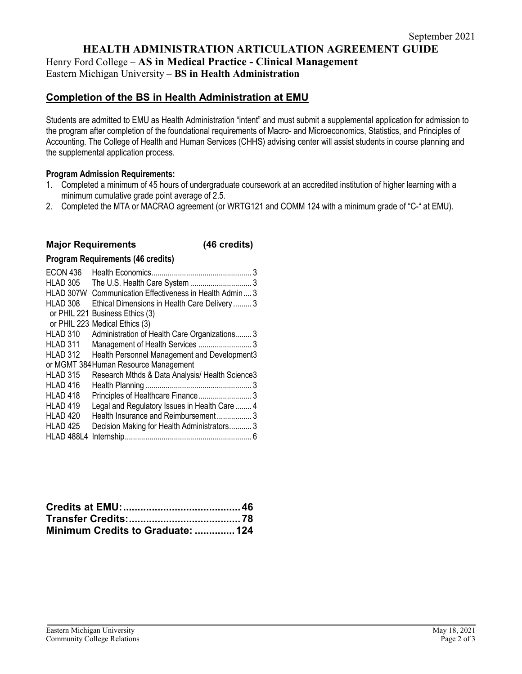**HEALTH ADMINISTRATION ARTICULATION AGREEMENT GUIDE**

Henry Ford College – **AS in Medical Practice - Clinical Management** Eastern Michigan University – **BS in Health Administration**

# **Completion of the BS in Health Administration at EMU**

Students are admitted to EMU as Health Administration "intent" and must submit a supplemental application for admission to the program after completion of the foundational requirements of Macro- and Microeconomics, Statistics, and Principles of Accounting. The College of Health and Human Services (CHHS) advising center will assist students in course planning and the supplemental application process.

## **Program Admission Requirements:**

- 1. Completed a minimum of 45 hours of undergraduate coursework at an accredited institution of higher learning with a minimum cumulative grade point average of 2.5.
- 2. Completed the MTA or MACRAO agreement (or WRTG121 and COMM 124 with a minimum grade of "C-" at EMU).

## **Major Requirements (46 credits)**

### **Program Requirements (46 credits)**

| ECON 436            | 3                                               |
|---------------------|-------------------------------------------------|
| <b>HLAD 305</b>     |                                                 |
| HLAD 307W           | Communication Effectiveness in Health Admin 3   |
| HLAD 308            | Ethical Dimensions in Health Care Delivery  3   |
|                     | or PHIL 221 Business Ethics (3)                 |
|                     | or PHIL 223 Medical Ethics (3)                  |
| <b>HLAD 310</b>     | Administration of Health Care Organizations3    |
| HLAD 311            | Management of Health Services  3                |
| HLAD 312            | Health Personnel Management and Development3    |
|                     | or MGMT 384 Human Resource Management           |
| <b>HLAD 315</b>     | Research Mthds & Data Analysis/ Health Science3 |
| HLAD 416            |                                                 |
| HLAD <sub>418</sub> |                                                 |
| <b>HLAD 419</b>     | Legal and Regulatory Issues in Health Care  4   |
| HLAD <sub>420</sub> | Health Insurance and Reimbursement3             |
| <b>HLAD 425</b>     | Decision Making for Health Administrators3      |
| HLAD 488L4          |                                                 |

| Minimum Credits to Graduate:  124 |  |
|-----------------------------------|--|